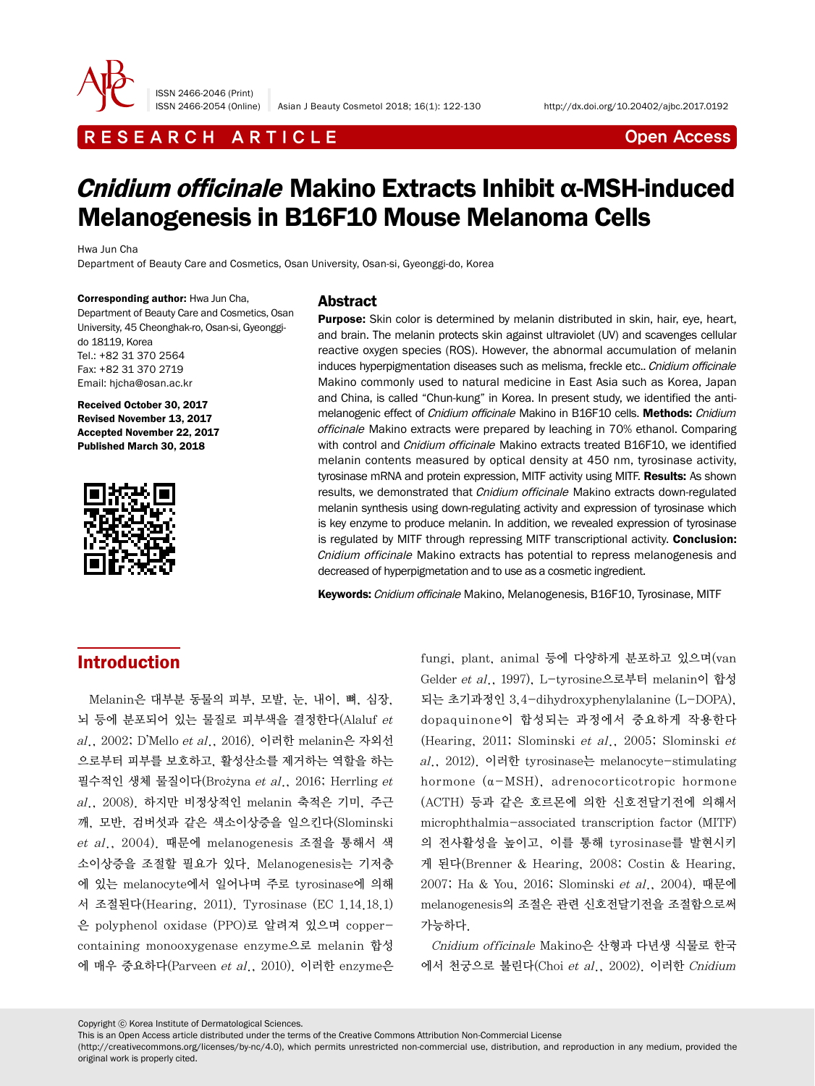

ISSN 2466-2046 (Print)

# R E S E A R C H A R T I C L E CHE CONTROLLER THE CONTROLLER CONTROLLER THE CONTROLLER CONTROLLER CONTROLLER CONTROLLER THE CONTROLLER CONTROLLER CONTROLLER CONTROLLER CONTROLLER CONTROLLER CONTROLLER CONTROLLER CONTROLLER

# Cnidium officinale Makino Extracts Inhibit α-MSH-induced Melanogenesis in B16F10 Mouse Melanoma Cells

Hwa Jun Cha

Department of Beauty Care and Cosmetics, Osan University, Osan-si, Gyeonggi-do, Korea

Corresponding author: Hwa Jun Cha, Department of Beauty Care and Cosmetics, Osan University, 45 Cheonghak-ro, Osan-si, Gyeonggido 18119, Korea Tel.: +82 31 370 2564 Fax: +82 31 370 2719 Email: hjcha@osan.ac.kr

Received October 30, 2017 Revised November 13, 2017 Accepted November 22, 2017 Published March 30, 2018



### **Abstract**

**Purpose:** Skin color is determined by melanin distributed in skin, hair, eye, heart, and brain. The melanin protects skin against ultraviolet (UV) and scavenges cellular reactive oxygen species (ROS). However, the abnormal accumulation of melanin induces hyperpigmentation diseases such as melisma, freckle etc.. Cnidium officinale Makino commonly used to natural medicine in East Asia such as Korea, Japan and China, is called "Chun-kung" in Korea. In present study, we identified the antimelanogenic effect of *Cnidium officinale* Makino in B16F10 cells. Methods: *Cnidium* officinale Makino extracts were prepared by leaching in 70% ethanol. Comparing with control and *Cnidium officinale* Makino extracts treated B16F10, we identified melanin contents measured by optical density at 450 nm, tyrosinase activity, tyrosinase mRNA and protein expression, MITF activity using MITF. Results: As shown results, we demonstrated that *Cnidium officinale* Makino extracts down-regulated melanin synthesis using down-regulating activity and expression of tyrosinase which is key enzyme to produce melanin. In addition, we revealed expression of tyrosinase is regulated by MITF through repressing MITF transcriptional activity. Conclusion: Cnidium officinale Makino extracts has potential to repress melanogenesis and decreased of hyperpigmetation and to use as a cosmetic ingredient.

Keywords: Cnidium officinale Makino, Melanogenesis, B16F10, Tyrosinase, MITF

### Introduction

Melanin은 대부분 동물의 피부, 모발, 눈, 내이, 뼈, 심장, 뇌 등에 분포되어 있는 물질로 피부색을 결정한다(Alaluf et al., 2002; D'Mello et al., 2016). 이러한 melanin은 자외선 으로부터 피부를 보호하고, 활성산소를 제거하는 역할을 하는 필수적인 생체 물질이다(Brożyna et al., 2016; Herrling et al., 2008). 하지만 비정상적인 melanin 축적은 기미, 주근 깨, 모반, 검버섯과 같은 색소이상증을 일으킨다(Slominski et al., 2004). 때문에 melanogenesis 조절을 통해서 색 소이상증을 조절할 필요가 있다. Melanogenesis는 기저층 에 있는 melanocyte에서 일어나며 주로 tyrosinase에 의해 서 조절된다(Hearing, 2011). Tyrosinase (EC 1.14.18.1) 은 polyphenol oxidase (PPO)로 알려져 있으며 coppercontaining monooxygenase enzyme으로 melanin 합성 에 매우 중요하다(Parveen et al., 2010). 이러한 enzyme은

fungi, plant, animal 등에 다양하게 분포하고 있으며(van Gelder et al., 1997), L-tyrosine으로부터 melanin이 합성 되는 초기과정인 3,4-dihydroxyphenylalanine (L-DOPA), dopaquinone이 합성되는 과정에서 중요하게 작용한다 (Hearing, 2011; Slominski et al., 2005; Slominski et al., 2012). 이러한 tyrosinase는 melanocyte-stimulating hormone (α-MSH), adrenocorticotropic hormone (ACTH) 등과 같은 호르몬에 의한 신호전달기전에 의해서 microphthalmia-associated transcription factor (MITF) 의 전사활성을 높이고, 이를 통해 tyrosinase를 발현시키 게 된다(Brenner & Hearing, 2008; Costin & Hearing, 2007; Ha & You, 2016; Slominski et al., 2004). 때문에 melanogenesis의 조절은 관련 신호전달기전을 조절함으로써 가능하다.

Cnidium officinale Makino은 산형과 다년생 식물로 한국 에서 천궁으로 불린다(Choi et al., 2002). 이러한 Cnidium

Copyright ⓒ Korea Institute of Dermatological Sciences.

(http://creativecommons.org/licenses/by-nc/4.0), which permits unrestricted non-commercial use, distribution, and reproduction in any medium, provided the original work is properly cited.

This is an Open Access article distributed under the terms of the Creative Commons Attribution Non-Commercial License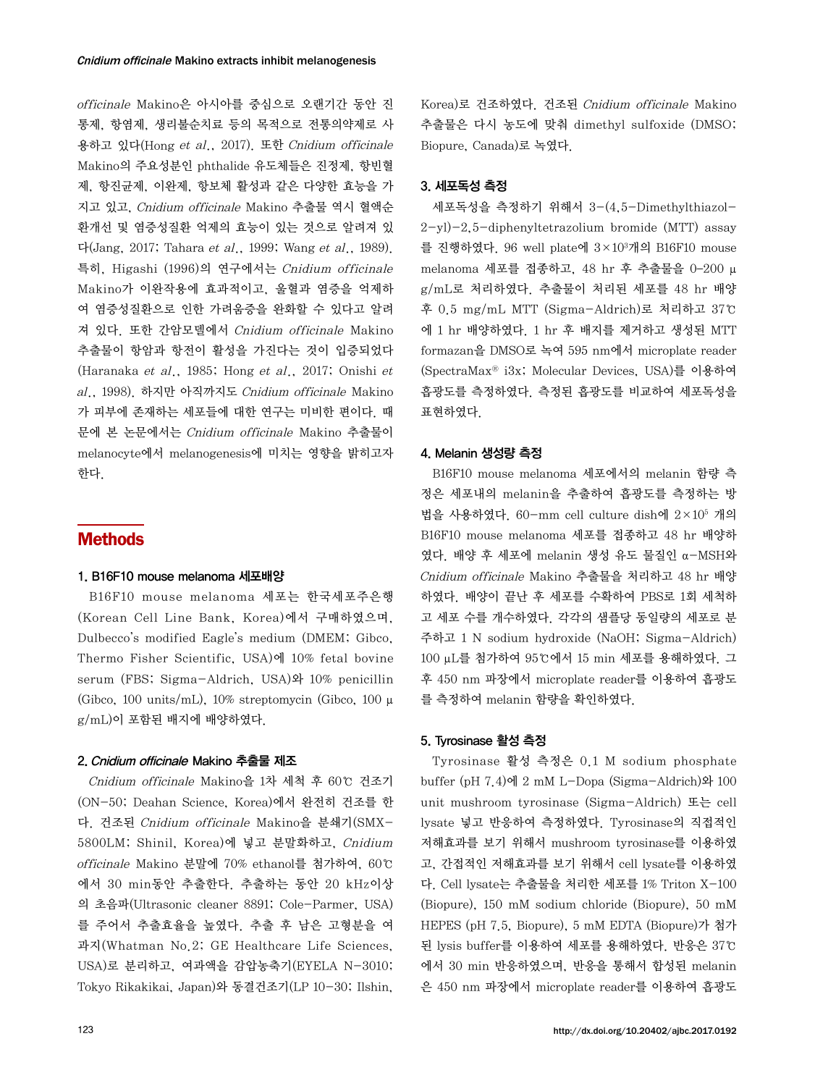officinale Makino은 아시아를 중심으로 오랜기간 동안 진 통제, 항염제, 생리불순치료 등의 목적으로 전통의약제로 사 용하고 있다(Hong et al., 2017). 또한 Cnidium officinale Makino의 주요성분인 phthalide 유도체들은 진정제, 항빈혈 제, 항진균제, 이완제, 항보체 활성과 같은 다양한 효능을 가 지고 있고, Cnidium officinale Makino 추출물 역시 혈액순 환개선 및 염증성질환 억제의 효능이 있는 것으로 알려져 있 다(Jang, 2017; Tahara et al., 1999; Wang et al., 1989). 특히, Higashi (1996)의 연구에서는 Cnidium officinale Makino가 이완작용에 효과적이고, 울혈과 염증을 억제하 여 염증성질환으로 인한 가려움증을 완화할 수 있다고 알려 져 있다. 또한 간암모델에서 Cnidium officinale Makino 추출물이 항암과 항전이 활성을 가진다는 것이 입증되었다 (Haranaka et al., 1985; Hong et al., 2017; Onishi et al., 1998). 하지만 아직까지도 Cnidium officinale Makino 가 피부에 존재하는 세포들에 대한 연구는 미비한 편이다. 때 문에 본 논문에서는 Cnidium officinale Makino 추출물이 melanocyte에서 melanogenesis에 미치는 영향을 밝히고자 한다.

### Methods

#### 1. B16F10 mouse melanoma 세포배양

B16F10 mouse melanoma 세포는 한국세포주은행 (Korean Cell Line Bank, Korea)에서 구매하였으며, Dulbecco's modified Eagle's medium (DMEM; Gibco, Thermo Fisher Scientific, USA)에 10% fetal bovine serum (FBS; Sigma-Aldrich, USA)와 10% penicillin (Gibco, 100 units/mL), 10% streptomycin (Gibco, 100 μ g/mL)이 포함된 배지에 배양하였다.

#### 2. Cnidium officinale Makino 추출물 제조

Cnidium officinale Makino을 1차 세척 후 60℃ 건조기 (ON-50; Deahan Science, Korea)에서 완전히 건조를 한 다. 건조된 Cnidium officinale Makino을 분쇄기(SMX-5800LM; Shinil, Korea)에 넣고 분말화하고, Cnidium officinale Makino 분말에 70% ethanol를 첨가하여, 60℃ 에서 30 min동안 추출한다. 추출하는 동안 20 kHz이상 의 초음파(Ultrasonic cleaner 8891; Cole-Parmer, USA) 를 주어서 추출효율을 높였다. 추출 후 남은 고형분을 여 과지(Whatman No.2; GE Healthcare Life Sciences, USA)로 분리하고, 여과액을 감압농축기(EYELA N-3010; Tokyo Rikakikai, Japan)와 동결건조기(LP 10-30; Ilshin,

Korea)로 건조하였다. 건조된 Cnidium officinale Makino 추출물은 다시 농도에 맞춰 dimethyl sulfoxide (DMSO; Biopure, Canada)로 녹였다.

### 3. 세포독성 측정

세포독성을 측정하기 위해서 3-(4,5-Dimethylthiazol- $2-yl$ -2,5-diphenyltetrazolium bromide (MTT) assay 를 진행하였다. 96 well plate에 3×103 개의 B16F10 mouse melanoma 세포를 접종하고, 48 hr 후 추출물을 0–200 μ g/mL로 처리하였다. 추출물이 처리된 세포를 48 hr 배양 후 0.5 mg/mL MTT (Sigma-Aldrich)로 처리하고 37℃ 에 1 hr 배양하였다. 1 hr 후 배지를 제거하고 생성된 MTT formazan을 DMSO로 녹여 595 nm에서 microplate reader (SpectraMax® i3x; Molecular Devices, USA)를 이용하여 흡광도를 측정하였다. 측정된 흡광도를 비교하여 세포독성을 표현하였다.

#### 4. Melanin 생성량 측정

B16F10 mouse melanoma 세포에서의 melanin 함량 측 정은 세포내의 melanin을 추출하여 흡광도를 측정하는 방 법을 사용하였다. 60-mm cell culture dish에 2×105 개의 B16F10 mouse melanoma 세포를 접종하고 48 hr 배양하 였다. 배양 후 세포에 melanin 생성 유도 물질인 α-MSH와 Cnidium officinale Makino 추출물을 처리하고 48 hr 배양 하였다. 배양이 끝난 후 세포를 수확하여 PBS로 1회 세척하 고 세포 수를 개수하였다. 각각의 샘플당 동일량의 세포로 분 주하고 1 N sodium hydroxide (NaOH; Sigma-Aldrich) 100 μL를 첨가하여 95℃에서 15 min 세포를 용해하였다. 그 후 450 nm 파장에서 microplate reader를 이용하여 흡광도 를 측정하여 melanin 함량을 확인하였다.

#### 5. Tyrosinase 활성 측정

Tyrosinase 활성 측정은 0.1 M sodium phosphate buffer (pH  $7.4$ )에 2 mM L-Dopa (Sigma-Aldrich)와 100 unit mushroom tyrosinase (Sigma-Aldrich) 또는 cell lysate 넣고 반응하여 측정하였다. Tyrosinase의 직접적인 저해효과를 보기 위해서 mushroom tyrosinase를 이용하였 고, 간접적인 저해효과를 보기 위해서 cell lysate를 이용하였 다. Cell lysate는 추출물을 처리한 세포를 1% Triton X-100 (Biopure), 150 mM sodium chloride (Biopure), 50 mM HEPES (pH 7.5, Biopure), 5 mM EDTA (Biopure)가 첨가 된 lysis buffer를 이용하여 세포를 용해하였다. 반응은 37℃ 에서 30 min 반응하였으며, 반응을 통해서 합성된 melanin 은 450 nm 파장에서 microplate reader를 이용하여 흡광도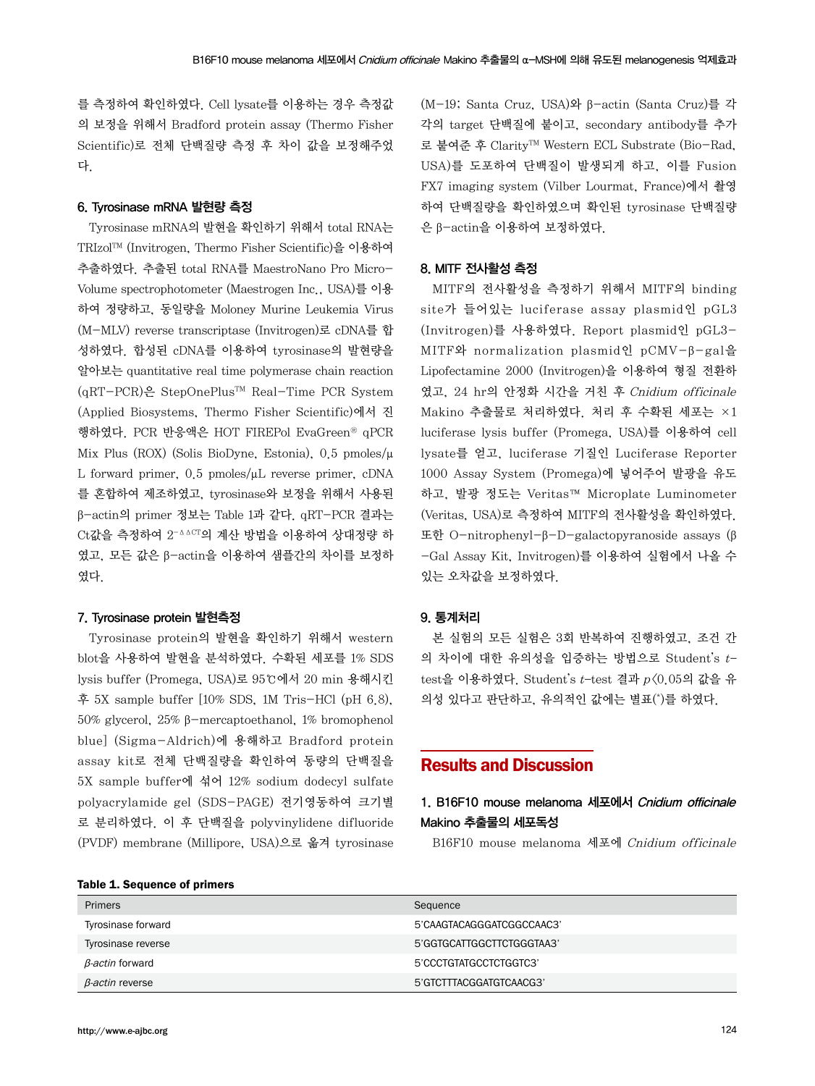를 측정하여 확인하였다. Cell lysate를 이용하는 경우 측정값 의 보정을 위해서 Bradford protein assay (Thermo Fisher Scientific)로 전체 단백질량 측정 후 차이 값을 보정해주었 다.

#### 6. Tyrosinase mRNA 발현량 측정

Tyrosinase mRNA의 발현을 확인하기 위해서 total RNA는 TRIzolTM (Invitrogen, Thermo Fisher Scientific)을 이용하여 추출하였다. 추출된 total RNA를 MaestroNano Pro Micro-Volume spectrophotometer (Maestrogen Inc., USA)를 이용 하여 정량하고, 동일량을 Moloney Murine Leukemia Virus (M-MLV) reverse transcriptase (Invitrogen)로 cDNA를 합 성하였다. 합성된 cDNA를 이용하여 tyrosinase의 발현량을 알아보는 quantitative real time polymerase chain reaction (qRT-PCR)은 StepOnePlusTM Real-Time PCR System (Applied Biosystems, Thermo Fisher Scientific)에서 진 행하였다. PCR 반응액은 HOT FIREPol EvaGreen® qPCR Mix Plus (ROX) (Solis BioDyne, Estonia), 0.5 pmoles/μ L forward primer, 0.5 pmoles/μL reverse primer, cDNA 를 혼합하여 제조하였고, tyrosinase와 보정을 위해서 사용된 β-actin의 primer 정보는 Table 1과 같다. qRT-PCR 결과는 Ct값을 측정하여 2-ΔΔCT의 계산 방법을 이용하여 상대정량 하 였고, 모든 값은 β-actin을 이용하여 샘플간의 차이를 보정하 였다.

#### 7. Tyrosinase protein 발현측정

Tyrosinase protein의 발현을 확인하기 위해서 western blot을 사용하여 발현을 분석하였다. 수확된 세포를 1% SDS lysis buffer (Promega, USA)로 95℃에서 20 min 용해시킨 후 5X sample buffer [10% SDS, 1M Tris-HCl (pH 6.8), 50% glycerol, 25% β-mercaptoethanol, 1% bromophenol blue] (Sigma-Aldrich)에 용해하고 Bradford protein assay kit로 전체 단백질량을 확인하여 동량의 단백질을 5X sample buffer에 섞어 12% sodium dodecyl sulfate polyacrylamide gel (SDS-PAGE) 전기영동하여 크기별 로 분리하였다. 이 후 단백질을 polyvinylidene difluoride (PVDF) membrane (Millipore, USA)으로 옮겨 tyrosinase (M-19; Santa Cruz, USA)와 β-actin (Santa Cruz)를 각 각의 target 단백질에 붙이고, secondary antibody를 추가 로 붙여준 후 ClarityTM Western ECL Substrate (Bio-Rad, USA)를 도포하여 단백질이 발생되게 하고, 이를 Fusion FX7 imaging system (Vilber Lourmat, France)에서 촬영 하여 단백질량을 확인하였으며 확인된 tyrosinase 단백질량 은 β-actin을 이용하여 보정하였다.

#### 8. MITF 전사활성 측정

MITF의 전사활성을 측정하기 위해서 MITF의 binding site가 들어있는 luciferase assay plasmid인 pGL3 (Invitrogen)를 사용하였다. Report plasmid인 pGL3- MITF와 normalization plasmid인 pCMV-β-gal을 Lipofectamine 2000 (Invitrogen)을 이용하여 형질 전환하 였고, 24 hr의 안정화 시간을 거친 후 Cnidium officinale Makino 추출물로 처리하였다. 처리 후 수확된 세포는 ×1 luciferase lysis buffer (Promega, USA)를 이용하여 cell lysate를 얻고, luciferase 기질인 Luciferase Reporter 1000 Assay System (Promega)에 넣어주어 발광을 유도 하고, 발광 정도는 Veritas™ Microplate Luminometer (Veritas, USA)로 측정하여 MITF의 전사활성을 확인하였다. 또한 O-nitrophenyl-β-D-galactopyranoside assays (β -Gal Assay Kit, Invitrogen)를 이용하여 실험에서 나올 수 있는 오차값을 보정하였다.

### 9. 통계처리

본 실험의 모든 실험은 3회 반복하여 진행하였고, 조건 간 의 차이에 대한 유의성을 입증하는 방법으로 Student's t– test을 이용하였다. Student's  $t$ -test 결과  $p(0.059$  값을 유 의성 있다고 판단하고, 유의적인 값에는 별표(\*)를 하였다.

### Results and Discussion

### 1. B16F10 mouse melanoma 세포에서 Cnidium officinale Makino 추출물의 세포독성

B16F10 mouse melanoma 세포에 Cnidium officinale

|  |  | Table 1. Sequence of primers |  |  |
|--|--|------------------------------|--|--|
|--|--|------------------------------|--|--|

| <b>Primers</b>         | Sequence                  |  |  |  |
|------------------------|---------------------------|--|--|--|
| Tyrosinase forward     | 5'CAAGTACAGGGATCGGCCAAC3' |  |  |  |
| Tyrosinase reverse     | 5'GGTGCATTGGCTTCTGGGTAA3' |  |  |  |
| B-actin forward        | 5'CCCTGTATGCCTCTGGTC3'    |  |  |  |
| $\beta$ -actin reverse | 5'GTCTTTACGGATGTCAACG3'   |  |  |  |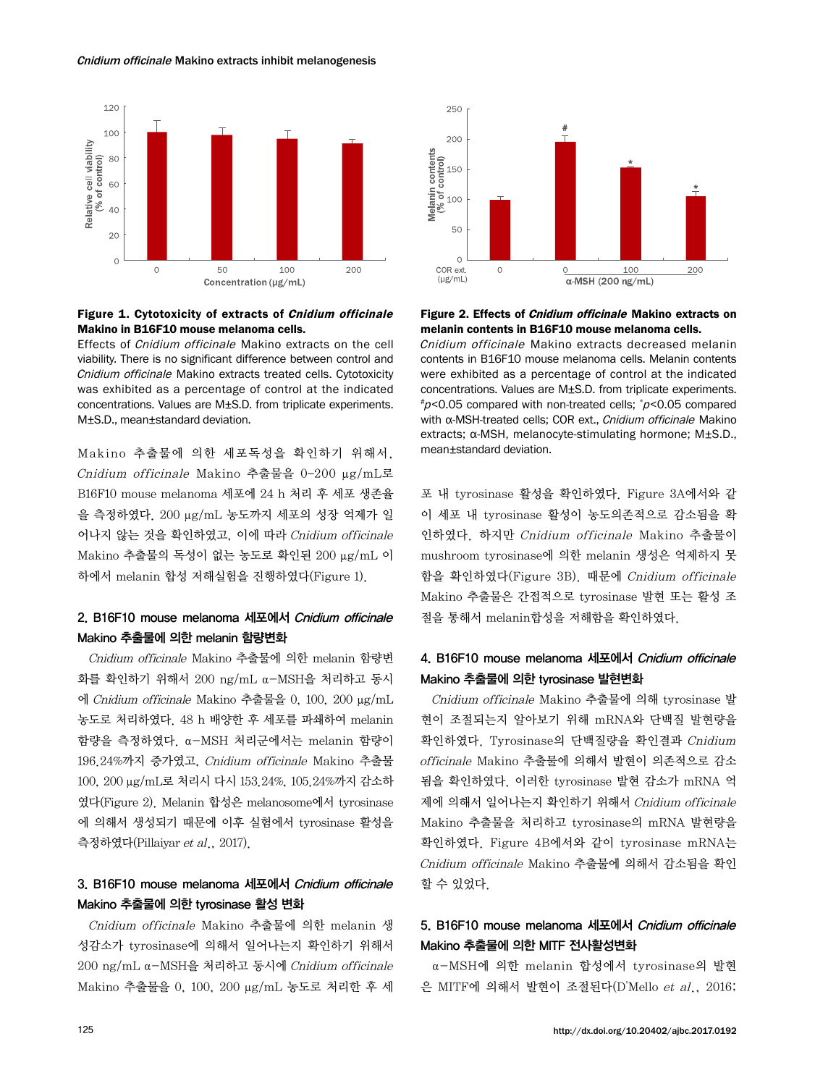#### Cnidium officinale Makino extracts inhibit melanogenesis



### Figure 1. Cytotoxicity of extracts of Cnidium officinale Makino in B16F10 mouse melanoma cells.

Effects of Cnidium officinale Makino extracts on the cell viability. There is no significant difference between control and Cnidium officinale Makino extracts treated cells. Cytotoxicity was exhibited as a percentage of control at the indicated concentrations. Values are M±S.D. from triplicate experiments. M±S.D., mean±standard deviation.

Mak ino 추출물에 의한 세포독성을 확인하기 위해서, Cnidium officinale Makino 추출물을 0–200 μg/mL로 B16F10 mouse melanoma 세포에 24 h 처리 후 세포 생존율 을 측정하였다. 200 μg/mL 농도까지 세포의 성장 억제가 일 어나지 않는 것을 확인하였고, 이에 따라 Cnidium officinale Makino 추출물의 독성이 없는 농도로 확인된 200 μg/mL 이 하에서 melanin 합성 저해실험을 진행하였다(Figure 1).

### 2. B16F10 mouse melanoma 세포에서 Cnidium officinale Makino 추출물에 의한 melanin 함량변화

Cnidium officinale Makino 추출물에 의한 melanin 함량변 화를 확인하기 위해서 200 ng/mL α-MSH을 처리하고 동시 에 Cnidium officinale Makino 추출물을 0, 100, 200 μg/mL 농도로 처리하였다. 48 h 배양한 후 세포를 파쇄하여 melanin 함량을 측정하였다. α-MSH 처리군에서는 melanin 함량이 196.24%까지 증가였고, Cnidium officinale Makino 추출물 100, 200 μg/mL로 처리시 다시 153.24%, 105.24%까지 감소하 였다(Figure 2). Melanin 합성은 melanosome에서 tyrosinase 에 의해서 생성되기 때문에 이후 실험에서 tyrosinase 활성을 측정하였다(Pillaiyar et al., 2017).

### 3. B16F10 mouse melanoma 세포에서 Cnidium officinale Makino 추출물에 의한 tyrosinase 활성 변화

Cnidium officinale Makino 추출물에 의한 melanin 생 성감소가 tyrosinase에 의해서 일어나는지 확인하기 위해서 200 ng/mL α-MSH을 처리하고 동시에 Cnidium officinale Makino 추출물을 0, 100, 200 μg/mL 농도로 처리한 후 세



#### Figure 2. Effects of Cnidium officinale Makino extracts on melanin contents in B16F10 mouse melanoma cells.

Cnidium officinale Makino extracts decreased melanin contents in B16F10 mouse melanoma cells. Melanin contents were exhibited as a percentage of control at the indicated concentrations. Values are M±S.D. from triplicate experiments. # <sup>p</sup><0.05 compared with non-treated cells; \* <sup>p</sup><0.05 compared with α-MSH-treated cells; COR ext., Cnidium officinale Makino extracts; α-MSH, melanocyte-stimulating hormone; M±S.D., mean±standard deviation.

포 내 tyrosinase 활성을 확인하였다. Figure 3A에서와 같 이 세포 내 tyrosinase 활성이 농도의존적으로 감소됨을 확 인하였다. 하지만 Cnidium officinale Makino 추출물이 mushroom tyrosinase에 의한 melanin 생성은 억제하지 못 함을 확인하였다(Figure 3B). 때문에 Cnidium officinale Makino 추출물은 간접적으로 tyrosinase 발현 또는 활성 조 절을 통해서 melanin합성을 저해함을 확인하였다.

### 4. B16F10 mouse melanoma 세포에서 Cnidium officinale Makino 추출물에 의한 tyrosinase 발현변화

Cnidium officinale Makino 추출물에 의해 tyrosinase 발 현이 조절되는지 알아보기 위해 mRNA와 단백질 발현량을 확인하였다. Tyrosinase의 단백질량을 확인결과 Cnidium officinale Makino 추출물에 의해서 발현이 의존적으로 감소 됨을 확인하였다. 이러한 tyrosinase 발현 감소가 mRNA 억 제에 의해서 일어나는지 확인하기 위해서 Cnidium officinale Makino 추출물을 처리하고 tyrosinase의 mRNA 발현량을 확인하였다. Figure 4B에서와 같이 tyrosinase mRNA는 Cnidium officinale Makino 추출물에 의해서 감소됨을 확인 할 수 있었다.

### 5. B16F10 mouse melanoma 세포에서 Cnidium officinale Makino 추출물에 의한 MITF 전사활성변화

α-MSH에 의한 melanin 합성에서 tyrosinase의 발현 은 MITF에 의해서 발현이 조절된다(D'Mello et al., 2016;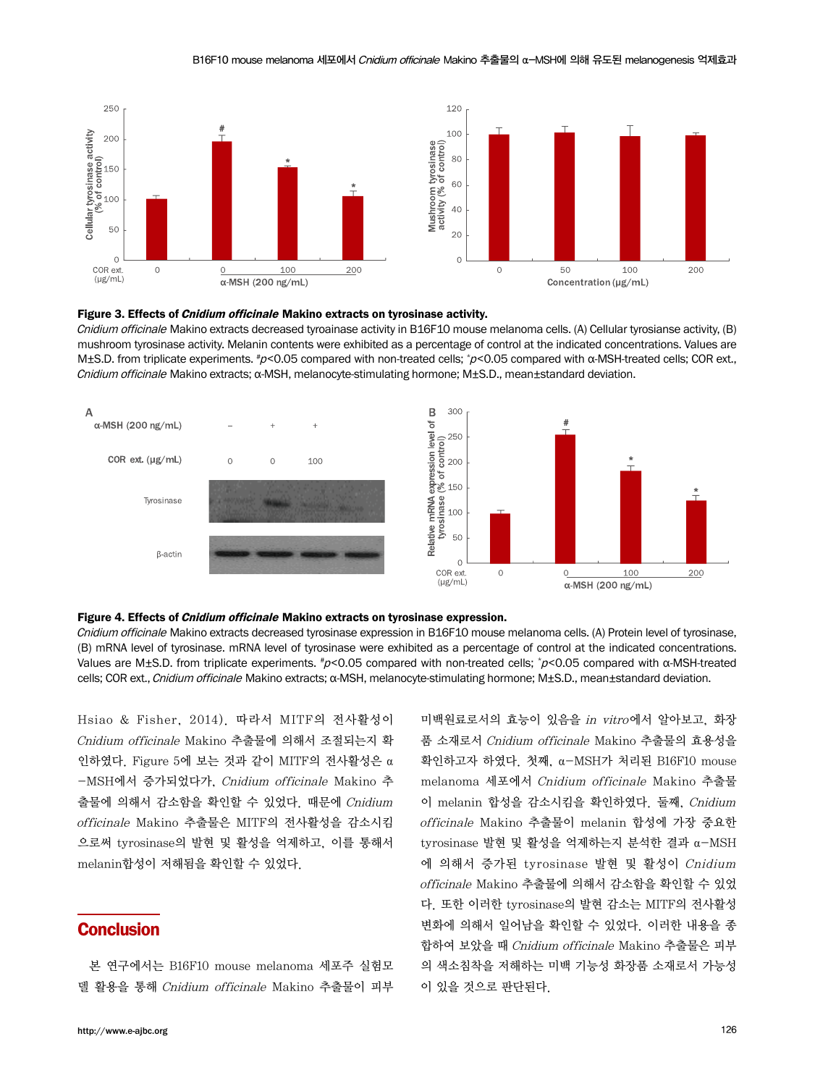

#### Figure 3. Effects of Cnidium officinale Makino extracts on tyrosinase activity.

Cnidium officinale Makino extracts decreased tyroainase activity in B16F10 mouse melanoma cells. (A) Cellular tyrosianse activity, (B) mushroom tyrosinase activity. Melanin contents were exhibited as a percentage of control at the indicated concentrations. Values are M±S.D. from triplicate experiments. #ρ<0.05 compared with non-treated cells; \*ρ<0.05 compared with α-MSH-treated cells; COR ext., Cnidium officinale Makino extracts; α-MSH, melanocyte-stimulating hormone; M±S.D., mean±standard deviation.



#### Figure 4. Effects of Cnidium officinale Makino extracts on tyrosinase expression.

Cnidium officinale Makino extracts decreased tyrosinase expression in B16F10 mouse melanoma cells. (A) Protein level of tyrosinase, (B) mRNA level of tyrosinase. mRNA level of tyrosinase were exhibited as a percentage of control at the indicated concentrations. Values are M±S.D. from triplicate experiments.  $\#$ ρ<0.05 compared with non-treated cells;  $\#$ ρ<0.05 compared with α-MSH-treated cells; COR ext., Cnidium officinale Makino extracts; α-MSH, melanocyte-stimulating hormone; M±S.D., mean±standard deviation.

Hsiao & Fisher, 2014). 따라서 MITF의 전사활성이 Cnidium officinale Makino 추출물에 의해서 조절되는지 확 인하였다. Figure 5에 보는 것과 같이 MITF의 전사활성은 α -MSH에서 증가되었다가, Cnidium officinale Makino 추 출물에 의해서 감소함을 확인할 수 있었다. 때문에 Cnidium officinale Makino 추출물은 MITF의 전사활성을 감소시킴 으로써 tyrosinase의 발현 및 활성을 억제하고, 이를 통해서 melanin합성이 저해됨을 확인할 수 있었다.

### **Conclusion**

본 연구에서는 B16F10 mouse melanoma 세포주 실험모 델 활용을 통해 Cnidium officinale Makino 추출물이 피부 미백원료로서의 효능이 있음을 in vitro에서 알아보고, 화장 품 소재로서 Cnidium officinale Makino 추출물의 효용성을 확인하고자 하였다. 첫째, α-MSH가 처리된 B16F10 mouse melanoma 세포에서 Cnidium officinale Makino 추출물 이 melanin 합성을 감소시킴을 확인하였다. 둘째, Cnidium officinale Makino 추출물이 melanin 합성에 가장 중요한 tyrosinase 발현 및 활성을 억제하는지 분석한 결과 α-MSH 에 의해서 증가된 tyrosinase 발현 및 활성이 Cnidium officinale Makino 추출물에 의해서 감소함을 확인할 수 있었 다. 또한 이러한 tyrosinase의 발현 감소는 MITF의 전사활성 변화에 의해서 일어남을 확인할 수 있었다. 이러한 내용을 종 합하여 보았을 때 Cnidium officinale Makino 추출물은 피부 의 색소침착을 저해하는 미백 기능성 화장품 소재로서 가능성 이 있을 것으로 판단된다.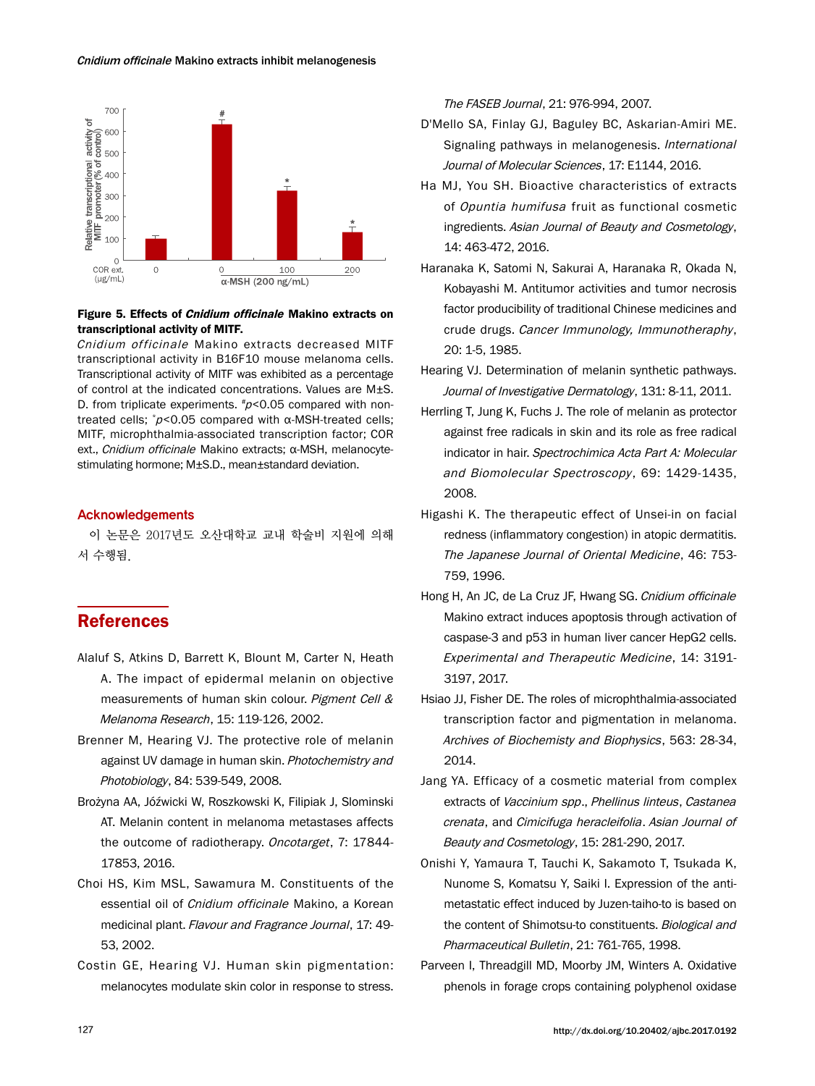

### Figure 5. Effects of Cnidium officinale Makino extracts on transcriptional activity of MITF.

Cnidium officinale Makino extracts decreased MITF transcriptional activity in B16F10 mouse melanoma cells. Transcriptional activity of MITF was exhibited as a percentage of control at the indicated concentrations. Values are M±S. D. from triplicate experiments.  $\#p$ <0.05 compared with nontreated cells; \* <sup>p</sup><0.05 compared with α-MSH-treated cells; MITF, microphthalmia-associated transcription factor; COR ext., Cnidium officinale Makino extracts; α-MSH, melanocytestimulating hormone; M±S.D., mean±standard deviation.

### Acknowledgements

이 논문은 2017년도 오산대학교 교내 학술비 지원에 의해 서 수행됨.

## References

- Alaluf S, Atkins D, Barrett K, Blount M, Carter N, Heath A. The impact of epidermal melanin on objective measurements of human skin colour. Pigment Cell & Melanoma Research, 15: 119-126, 2002.
- Brenner M, Hearing VJ. The protective role of melanin against UV damage in human skin. Photochemistry and Photobiology, 84: 539-549, 2008.
- Brożyna AA, Jóźwicki W, Roszkowski K, Filipiak J, Slominski AT. Melanin content in melanoma metastases affects the outcome of radiotherapy. Oncotarget, 7: 17844-17853, 2016.
- Choi HS, Kim MSL, Sawamura M. Constituents of the essential oil of Cnidium officinale Makino, a Korean medicinal plant. Flavour and Fragrance Journal, 17: 49- 53, 2002.
- Costin GE, Hearing VJ. Human skin pigmentation: melanocytes modulate skin color in response to stress.

The FASEB Journal, 21: 976-994, 2007.

- D'Mello SA, Finlay GJ, Baguley BC, Askarian-Amiri ME. Signaling pathways in melanogenesis. International Journal of Molecular Sciences, 17: E1144, 2016.
- Ha MJ, You SH. Bioactive characteristics of extracts of Opuntia humifusa fruit as functional cosmetic ingredients. Asian Journal of Beauty and Cosmetology, 14: 463-472, 2016.
- Haranaka K, Satomi N, Sakurai A, Haranaka R, Okada N, Kobayashi M. Antitumor activities and tumor necrosis factor producibility of traditional Chinese medicines and crude drugs. Cancer Immunology, Immunotheraphy, 20: 1-5, 1985.
- Hearing VJ. Determination of melanin synthetic pathways. Journal of Investigative Dermatology, 131: 8-11, 2011.
- Herrling T, Jung K, Fuchs J. The role of melanin as protector against free radicals in skin and its role as free radical indicator in hair. Spectrochimica Acta Part A: Molecular and Biomolecular Spectroscopy, 69: 1429-1435, 2008.
- Higashi K. The therapeutic effect of Unsei-in on facial redness (inflammatory congestion) in atopic dermatitis. The Japanese Journal of Oriental Medicine, 46: 753- 759, 1996.
- Hong H, An JC, de La Cruz JF, Hwang SG. Cnidium officinale Makino extract induces apoptosis through activation of caspase-3 and p53 in human liver cancer HepG2 cells. Experimental and Therapeutic Medicine, 14: 3191- 3197, 2017.
- Hsiao JJ, Fisher DE. The roles of microphthalmia-associated transcription factor and pigmentation in melanoma. Archives of Biochemisty and Biophysics, 563: 28-34, 2014.
- Jang YA. Efficacy of a cosmetic material from complex extracts of Vaccinium spp., Phellinus linteus, Castanea crenata, and Cimicifuga heracleifolia. Asian Journal of Beauty and Cosmetology, 15: 281-290, 2017.
- Onishi Y, Yamaura T, Tauchi K, Sakamoto T, Tsukada K, Nunome S, Komatsu Y, Saiki I. Expression of the antimetastatic effect induced by Juzen-taiho-to is based on the content of Shimotsu-to constituents. Biological and Pharmaceutical Bulletin, 21: 761-765, 1998.
- Parveen I, Threadgill MD, Moorby JM, Winters A. Oxidative phenols in forage crops containing polyphenol oxidase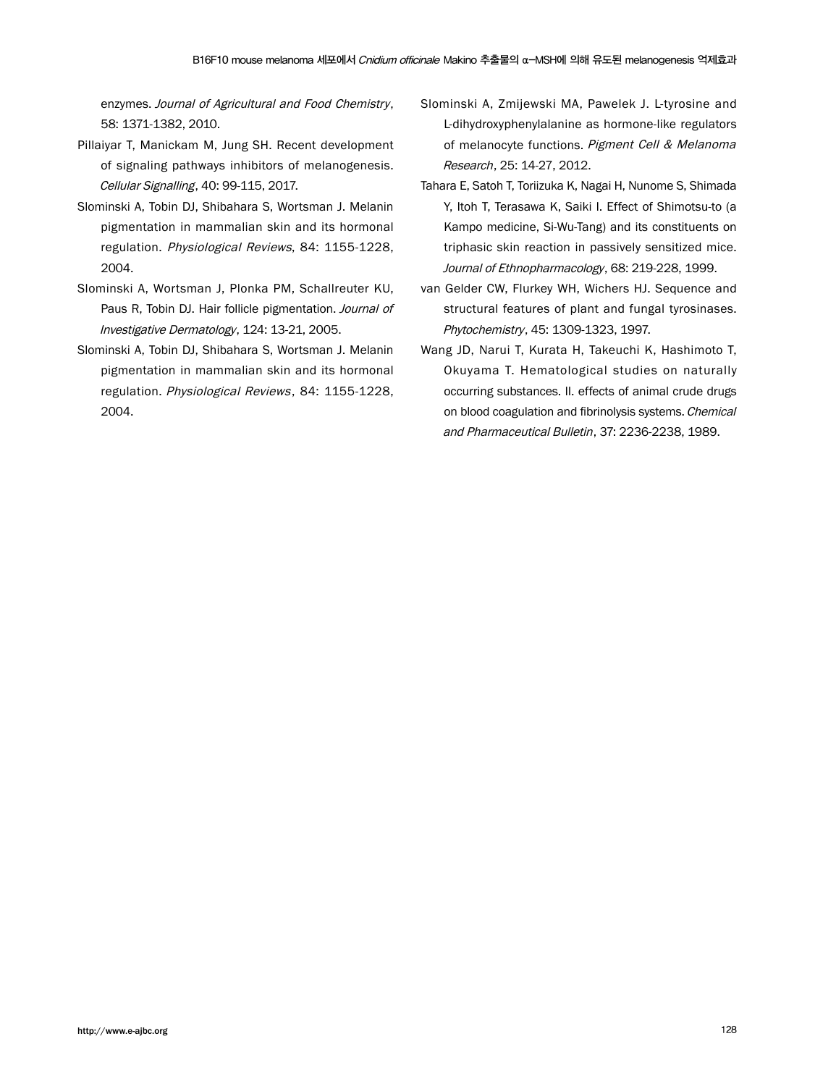enzymes. Journal of Agricultural and Food Chemistry, 58: 1371-1382, 2010.

- Pillaiyar T, Manickam M, Jung SH. Recent development of signaling pathways inhibitors of melanogenesis. Cellular Signalling, 40: 99-115, 2017.
- Slominski A, Tobin DJ, Shibahara S, Wortsman J. Melanin pigmentation in mammalian skin and its hormonal regulation. Physiological Reviews, 84: 1155-1228, 2004.
- Slominski A, Wortsman J, Plonka PM, Schallreuter KU, Paus R, Tobin DJ. Hair follicle pigmentation. Journal of Investigative Dermatology, 124: 13-21, 2005.
- Slominski A, Tobin DJ, Shibahara S, Wortsman J. Melanin pigmentation in mammalian skin and its hormonal regulation. Physiological Reviews, 84: 1155-1228, 2004.
- Slominski A, Zmijewski MA, Pawelek J. L-tyrosine and L-dihydroxyphenylalanine as hormone-like regulators of melanocyte functions. Pigment Cell & Melanoma Research, 25: 14-27, 2012.
- Tahara E, Satoh T, Toriizuka K, Nagai H, Nunome S, Shimada Y, Itoh T, Terasawa K, Saiki I. Effect of Shimotsu-to (a Kampo medicine, Si-Wu-Tang) and its constituents on triphasic skin reaction in passively sensitized mice. Journal of Ethnopharmacology, 68: 219-228, 1999.
- van Gelder CW, Flurkey WH, Wichers HJ. Sequence and structural features of plant and fungal tyrosinases. Phytochemistry, 45: 1309-1323, 1997.
- Wang JD, Narui T, Kurata H, Takeuchi K, Hashimoto T, Okuyama T. Hematological studies on naturally occurring substances. II. effects of animal crude drugs on blood coagulation and fibrinolysis systems. Chemical and Pharmaceutical Bulletin, 37: 2236-2238, 1989.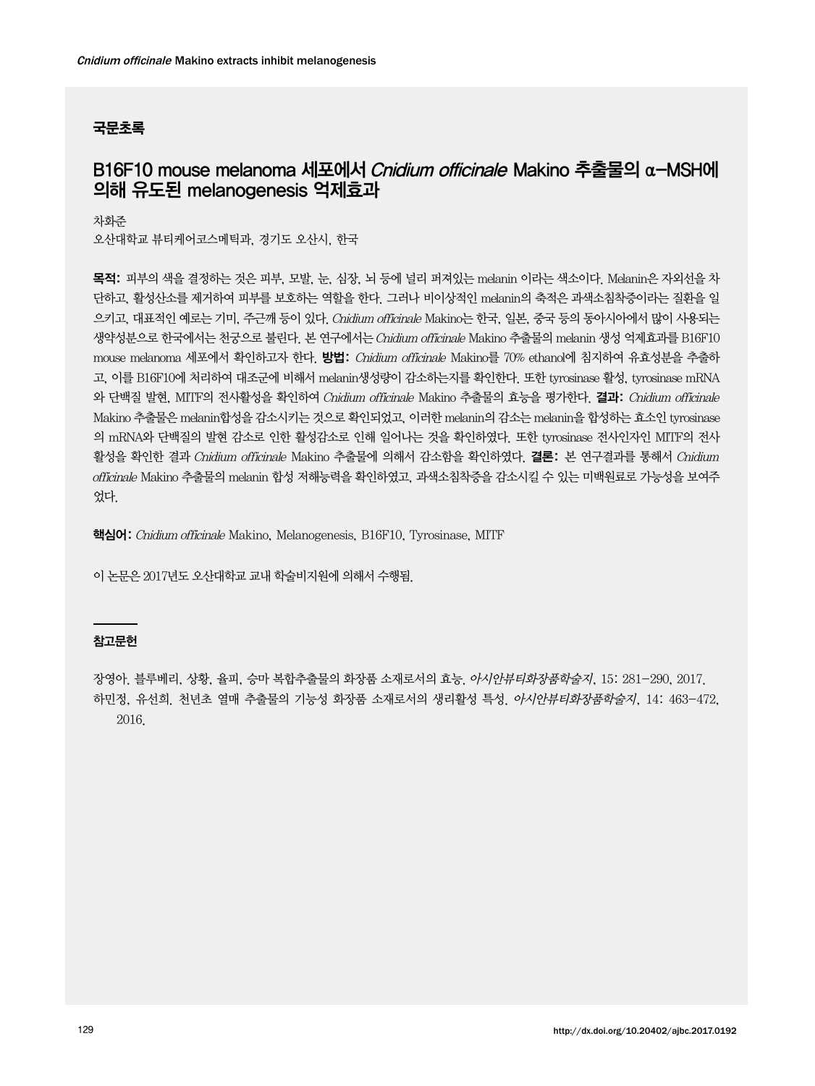### 국문초록

# B16F10 mouse melanoma 세포에서 Cnidium officinale Makino 추출물의 α-MSH에 의해 유도된 melanogenesis 억제효과

차화준 오산대학교 뷰티케어코스메틱과, 경기도 오산시, 한국

목적: 피부의 색을 결정하는 것은 피부, 모발, 눈, 심장, 뇌 등에 널리 퍼져있는 melanin 이라는 색소이다. Melanin은 자외선을 차 단하고, 활성산소를 제거하여 피부를 보호하는 역할을 한다. 그러나 비이상적인 melanin의 축적은 과색소침착증이라는 질환을 일 으키고, 대표적인 예로는 기미, 주근깨 등이 있다. Cnidium officinale Makino는 한국, 일본, 중국 등의 동아시아에서 많이 사용되는 생약성분으로 한국에서는 천궁으로 불린다. 본 연구에서는 Cnidium officinale Makino 추출물의 melanin 생성 억제효과를 B16F10 mouse melanoma 세포에서 확인하고자 한다. **방법:** *Cnidium officinale* Makino를 70% ethanol에 침지하여 유효성분을 추출하 고, 이를 B16F10에 처리하여 대조군에 비해서 melanin생성량이 감소하는지를 확인한다. 또한 tyrosinase 활성, tyrosinase mRNA 와 단백질 발현, MITF의 전사활성을 확인하여 Cnidium officinale Makino 추출물의 효능을 평가한다. **결과:** Cnidium officinale Makino 추출물은 melanin합성을 감소시키는 것으로 확인되었고, 이러한 melanin의 감소는 melanin을 합성하는 효소인 tyrosinase 의 mRNA와 단백질의 발현 감소로 인한 활성감소로 인해 일어나는 것을 확인하였다. 또한 tyrosinase 전사인자인 MITF의 전사 활성을 확인한 결과 Cnidium officinale Makino 추출물에 의해서 감소함을 확인하였다. 결론: 본 연구결과를 통해서 Cnidium officinale Makino 추출물의 melanin 합성 저해능력을 확인하였고, 과색소침착증을 감소시킬 수 있는 미백원료로 가능성을 보여주 었다.

핵심어: Cnidium officinale Makino, Melanogenesis, B16F10, Tyrosinase, MITF

이 논문은 2017년도 오산대학교 교내 학술비지원에 의해서 수행됨.

### 참고문헌

장영아. 블루베리, 상황, 율피, 승마 복합추출물의 화장품 소재로서의 효능. 아시안뷰티화장품학술지, 15: 281-290, 2017. 하민정, 유선희. 천년초 열매 추출물의 기능성 화장품 소재로서의 생리활성 특성. 아시안뷰티화장품학술지, 14: 463-472, 2016.